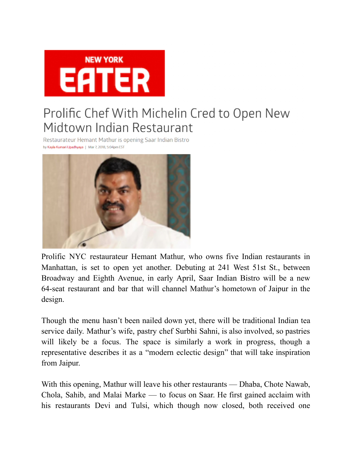

## Prolific Chef With Michelin Cred to Open New Midtown Indian Restaurant

Restaurateur Hemant Mathur is opening Saar Indian Bistro by Kayla Kumari Upadhyaya | Mar 7, 2018, 5:04pm EST



Prolific NYC restaurateur Hemant Mathur, who owns five Indian restaurants in Manhattan, is set to open yet another. Debuting at 241 West 51st St., between Broadway and Eighth Avenue, in early April, Saar Indian Bistro will be a new 64-seat restaurant and bar that will channel Mathur's hometown of Jaipur in the design.

Though the menu hasn't been nailed down yet, there will be traditional Indian tea service daily. Mathur's wife, pastry chef Surbhi Sahni, is also involved, so pastries will likely be a focus. The space is similarly a work in progress, though a representative describes it as a "modern eclectic design" that will take inspiration from Jaipur.

With this opening, Mathur will leave his other restaurants — Dhaba, Chote Nawab, Chola, Sahib, and Malai Marke — to focus on Saar. He first gained acclaim with his restaurants Devi and Tulsi, which though now closed, both received one